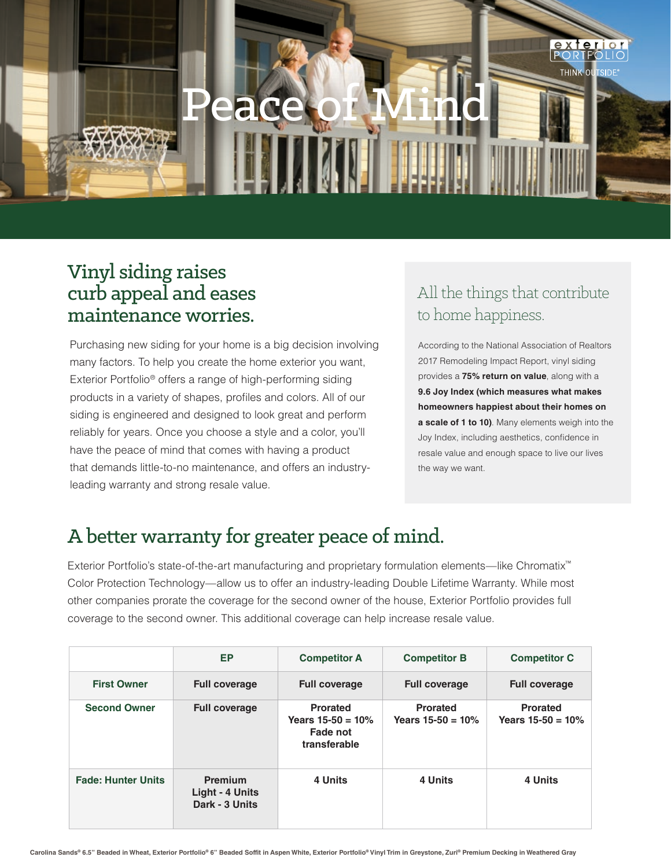

## Vinyl siding raises curb appeal and eases maintenance worries.

Purchasing new siding for your home is a big decision involving many factors. To help you create the home exterior you want, Exterior Portfolio® offers a range of high-performing siding products in a variety of shapes, profiles and colors. All of our siding is engineered and designed to look great and perform reliably for years. Once you choose a style and a color, you'll have the peace of mind that comes with having a product that demands little-to-no maintenance, and offers an industryleading warranty and strong resale value.

## All the things that contribute to home happiness.

According to the National Association of Realtors 2017 Remodeling Impact Report, vinyl siding provides a **75% return on value**, along with a **9.6 Joy Index (which measures what makes homeowners happiest about their homes on a scale of 1 to 10)**. Many elements weigh into the Joy Index, including aesthetics, confidence in resale value and enough space to live our lives the way we want.

## A better warranty for greater peace of mind.

Exterior Portfolio's state-of-the-art manufacturing and proprietary formulation elements—like Chromatix™ Color Protection Technology—allow us to offer an industry-leading Double Lifetime Warranty. While most other companies prorate the coverage for the second owner of the house, Exterior Portfolio provides full coverage to the second owner. This additional coverage can help increase resale value.

|                           | EP                                                  | <b>Competitor A</b>                                                | <b>Competitor B</b>                     | <b>Competitor C</b>                    |
|---------------------------|-----------------------------------------------------|--------------------------------------------------------------------|-----------------------------------------|----------------------------------------|
| <b>First Owner</b>        | <b>Full coverage</b>                                | <b>Full coverage</b>                                               | <b>Full coverage</b>                    | <b>Full coverage</b>                   |
| <b>Second Owner</b>       | <b>Full coverage</b>                                | <b>Prorated</b><br>Years $15-50 = 10%$<br>Fade not<br>transferable | <b>Prorated</b><br>Years $15-50 = 10\%$ | <b>Prorated</b><br>Years $15-50 = 10%$ |
| <b>Fade: Hunter Units</b> | <b>Premium</b><br>Light - 4 Units<br>Dark - 3 Units | 4 Units                                                            | 4 Units                                 | 4 Units                                |